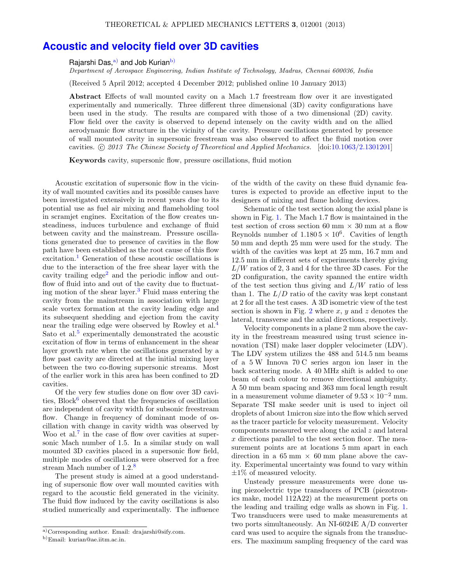## **Acoustic and velocity field over 3D cavities**

Rajarshi Das,<sup>a)</sup> and Job Kurian<sup>b)</sup>

Department of Aerospace Engineering, Indian Institute of Technology, Madras, Chennai 600036, India

(Received 5 April 2012; accepted 4 December 2012; published online 10 January 2013)

**Abstract** Effects of wall mounted cavity on a Mach 1.7 freestream flow over it are investigated experimentally and numerically. Three different three dimensional (3D) cavity configurations have been used in the study. The results are compared with those of a two dimensional (2D) cavity. Flow field over the cavity is observed to depend intensely on the cavity width and on the allied aerodynamic flow structure in the vicinity of the cavity. Pressure oscillations generated by presence of wall mounted cavity in supersonic freestream was also observed to affect the fluid motion over cavities.  $\odot$  2013 The Chinese Society of Theoretical and Applied Mechanics. [doi:10.1063/2.1301201]

**Keywords** cavity, supersonic flow, pressure oscillations, fluid motion

Acoustic excitation of supersonic flow in the vicinity of wall mounted cavities and its possible causes have been investigated extensively in recent years due to its potential use as fuel air mixing and flameholding tool in scramjet engines. Excitation of the flow creates unsteadiness, induces turbulence and exchange of fluid between cavity and the mainstream. Pressure oscillations generated due to presence of cavities in the flow path have been established as the root cause of this flow excitation.<sup>1</sup> Generation of these acoustic oscillations is due to the interaction of the free shear layer with the cavity trailing edge<sup>2</sup> and the periodic inflow and outflow of fluid into and out of the cavity due to fluctuating motion of the shear layer.<sup>3</sup> Fluid mass entering the cavity from the mainstream in association with large scale vortex formation at the cavity leading edge and its subsequent shedding and ejection from the cavity near the trailing edge were observed by Rowley et al.<sup>4</sup> Sato et al.<sup>5</sup> experimentally demonstrated the acoustic excitation of flow in terms of enhancement in the shear layer growth rate when the oscillations generated by a flow past cavity are directed at the initial mixing layer between the two co-flowing supersonic streams. Most of the earlier work in this area has been confined to 2D cavities.

Of the very few studies done on flow over 3D cavities,  $Block<sup>6</sup>$  observed that the frequencies of oscillation are independent of cavity width for subsonic freestream flow. Change in frequency of dominant mode of oscillation with change in cavity width was observed by Woo et al.<sup>7</sup> in the case of flow over cavities at supersonic Mach number of 1.5. In a similar study on wall mounted 3D cavities placed in a supersonic flow field, multiple modes of oscillations were observed for a free stream Mach number of 1.2.<sup>8</sup>

The present study is aimed at a good understanding of supersonic flow over wall mounted cavities with regard to the acoustic field generated in the vicinity. The fluid flow induced by the cavity oscillations is also studied numerically and experimentally. The influence of the width of the cavity on these fluid dynamic features is expected to provide an effective input to the designers of mixing and flame holding devices.

Schematic of the test section along the axial plane is shown in Fig. 1. The Mach 1.7 flow is maintained in the test section of cross section 60 mm  $\times$  30 mm at a flow Reynolds number of  $1.1805 \times 10^6$ . Cavities of length 50 mm and depth 25 mm were used for the study. The width of the cavities was kept at 25 mm, 16.7 mm and 12.5 mm in different sets of experiments thereby giving  $L/W$  ratios of 2, 3 and 4 for the three 3D cases. For the 2D configuration, the cavity spanned the entire width of the test section thus giving and  $L/W$  ratio of less than 1. The  $L/D$  ratio of the cavity was kept constant at 2 for all the test cases. A 3D isometric view of the test section is shown in Fig. 2 where  $x, y$  and z denotes the lateral, transverse and the axial directions, respectively.

Velocity components in a plane 2 mm above the cavity in the freestream measured using trust science innovation (TSI) make laser doppler velocimeter (LDV). The LDV system utilizes the 488 and 514.5 nm beams of a 5 W Innova 70 C series argon ion laser in the back scattering mode. A 40 MHz shift is added to one beam of each colour to remove directional ambiguity. A 50 mm beam spacing and 363 mm focal length result in a measurement volume diameter of  $9.53 \times 10^{-2}$  mm. Separate TSI make seeder unit is used to inject oil droplets of about 1micron size into the flow which served as the tracer particle for velocity measurement. Velocity components measured were along the axial z and lateral x directions parallel to the test section floor. The measurement points are at locations 5 mm apart in each direction in a 65 mm  $\times$  60 mm plane above the cavity. Experimental uncertainty was found to vary within  $\pm 1\%$  of measured velocity.

Unsteady pressure measurements were done using piezoelectric type transducers of PCB (piezotronics make, model 112A22) at the measurement ports on the leading and trailing edge walls as shown in Fig. 1. Two transducers were used to make measurements at two ports simultaneously. An NI-6024E A/D converter card was used to acquire the signals from the transducers. The maximum sampling frequency of the card was

a)Corresponding author. Email: drajarshi@sify.com.

b)Email: kurian@ae.iitm.ac.in.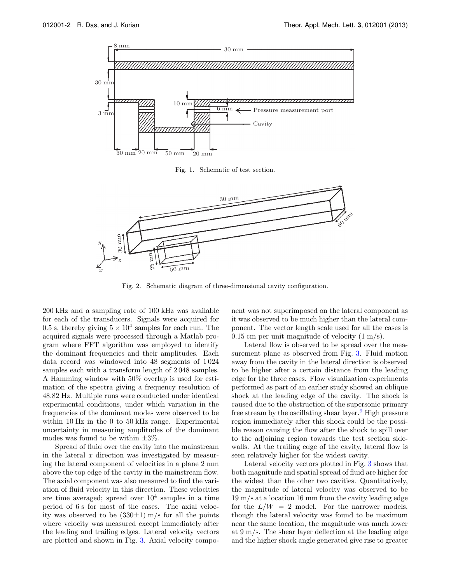

Fig. 1. Schematic of test section.



Fig. 2. Schematic diagram of three-dimensional cavity configuration.

200 kHz and a sampling rate of 100 kHz was available for each of the transducers. Signals were acquired for 0.5 s, thereby giving  $5 \times 10^4$  samples for each run. The acquired signals were processed through a Matlab program where FFT algorithm was employed to identify the dominant frequencies and their amplitudes. Each data record was windowed into 48 segments of 1 024 samples each with a transform length of 2 048 samples. A Hamming window with 50% overlap is used for estimation of the spectra giving a frequency resolution of 48.82 Hz. Multiple runs were conducted under identical experimental conditions, under which variation in the frequencies of the dominant modes were observed to be within 10 Hz in the 0 to 50 kHz range. Experimental uncertainty in measuring amplitudes of the dominant modes was found to be within  $\pm 3\%$ .

Spread of fluid over the cavity into the mainstream in the lateral  $x$  direction was investigated by measuring the lateral component of velocities in a plane 2 mm above the top edge of the cavity in the mainstream flow. The axial component was also measured to find the variation of fluid velocity in this direction. These velocities are time averaged; spread over  $10^4$  samples in a time period of 6 s for most of the cases. The axial velocity was observed to be  $(330\pm1)$  m/s for all the points where velocity was measured except immediately after the leading and trailing edges. Lateral velocity vectors are plotted and shown in Fig. 3. Axial velocity component was not superimposed on the lateral component as it was observed to be much higher than the lateral component. The vector length scale used for all the cases is  $0.15$  cm per unit magnitude of velocity  $(1 \text{ m/s})$ .

Lateral flow is observed to be spread over the measurement plane as observed from Fig. 3. Fluid motion away from the cavity in the lateral direction is observed to be higher after a certain distance from the leading edge for the three cases. Flow visualization experiments performed as part of an earlier study showed an oblique shock at the leading edge of the cavity. The shock is caused due to the obstruction of the supersonic primary free stream by the oscillating shear layer.<sup>9</sup> High pressure region immediately after this shock could be the possible reason causing the flow after the shock to spill over to the adjoining region towards the test section sidewalls. At the trailing edge of the cavity, lateral flow is seen relatively higher for the widest cavity.

Lateral velocity vectors plotted in Fig. 3 shows that both magnitude and spatial spread of fluid are higher for the widest than the other two cavities. Quantitatively, the magnitude of lateral velocity was observed to be 19 m/s at a location 16 mm from the cavity leading edge for the  $L/W = 2$  model. For the narrower models, though the lateral velocity was found to be maximum near the same location, the magnitude was much lower at 9 m/s. The shear layer deflection at the leading edge and the higher shock angle generated give rise to greater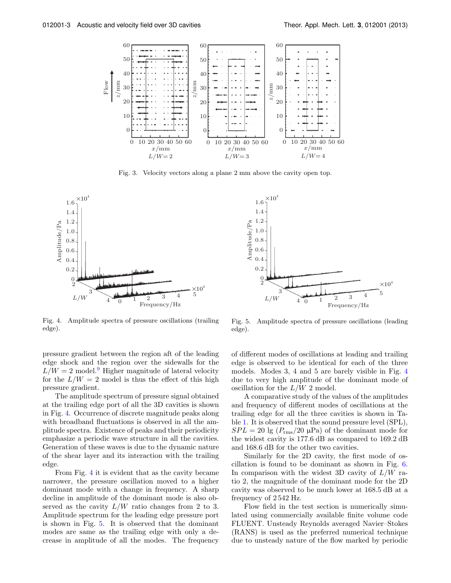

Fig. 3. Velocity vectors along a plane 2 mm above the cavity open top.





Fig. 4. Amplitude spectra of pressure oscillations (trailing edge).

pressure gradient between the region aft of the leading edge shock and the region over the sidewalls for the  $L/W = 2$  model.<sup>9</sup> Higher magnitude of lateral velocity for the  $L/W = 2$  model is thus the effect of this high pressure gradient.

The amplitude spectrum of pressure signal obtained at the trailing edge port of all the 3D cavities is shown in Fig. 4. Occurrence of discrete magnitude peaks along with broadband fluctuations is observed in all the amplitude spectra. Existence of peaks and their periodicity emphasize a periodic wave structure in all the cavities. Generation of these waves is due to the dynamic nature of the shear layer and its interaction with the trailing edge.

From Fig. 4 it is evident that as the cavity became narrower, the pressure oscillation moved to a higher dominant mode with a change in frequency. A sharp decline in amplitude of the dominant mode is also observed as the cavity  $L/W$  ratio changes from 2 to 3. Amplitude spectrum for the leading edge pressure port is shown in Fig. 5. It is observed that the dominant modes are same as the trailing edge with only a decrease in amplitude of all the modes. The frequency

Fig. 5. Amplitude spectra of pressure oscillations (leading edge).

of different modes of oscillations at leading and trailing edge is observed to be identical for each of the three models. Modes 3, 4 and 5 are barely visible in Fig. 4 due to very high amplitude of the dominant mode of oscillation for the  $L/W$  2 model.

A comparative study of the values of the amplitudes and frequency of different modes of oscillations at the trailing edge for all the three cavities is shown in Table 1. It is observed that the sound pressure level (SPL),  $SPL = 20$  lg  $(P_{\text{rms}}/20 \mu \text{Pa})$  of the dominant mode for the widest cavity is 177.6 dB as compared to 169.2 dB and 168.6 dB for the other two cavities.

Similarly for the 2D cavity, the first mode of oscillation is found to be dominant as shown in Fig. 6. In comparison with the widest 3D cavity of  $L/W$  ratio 2, the magnitude of the dominant mode for the 2D cavity was observed to be much lower at 168.5 dB at a frequency of 2 542 Hz.

Flow field in the test section is numerically simulated using commercially available finite volume code FLUENT. Unsteady Reynolds averaged Navier–Stokes (RANS) is used as the preferred numerical technique due to unsteady nature of the flow marked by periodic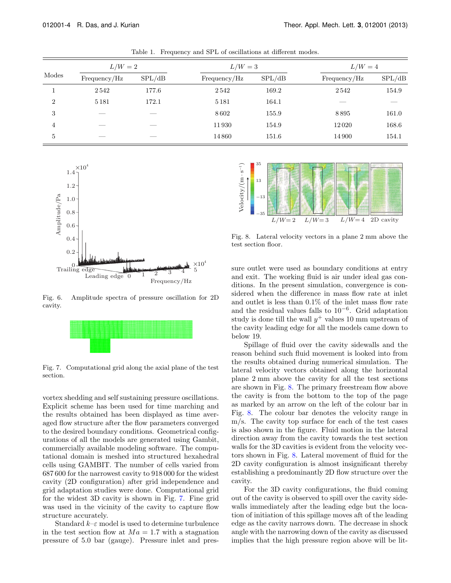| Modes          | $L/W=2$      |        | $L/W=3$      |        | $L/W=4$      |        |
|----------------|--------------|--------|--------------|--------|--------------|--------|
|                | Frequency/Hz | SPL/dB | Frequency/Hz | SPL/dB | Frequency/Hz | SPL/dB |
|                | 2542         | 177.6  | 2542         | 169.2  | 2542         | 154.9  |
| $\overline{2}$ | 5 1 8 1      | 172.1  | 5 1 8 1      | 164.1  |              |        |
| 3              |              |        | 8602         | 155.9  | 8895         | 161.0  |
| 4              |              |        | 11930        | 154.9  | 12020        | 168.6  |
| 5              |              |        | 14860        | 151.6  | 14 900       | 154.1  |

Table 1. Frequency and SPL of oscillations at different modes.



Fig. 6. Amplitude spectra of pressure oscillation for 2D cavity.



Fig. 7. Computational grid along the axial plane of the test section.

vortex shedding and self sustaining pressure oscillations. Explicit scheme has been used for time marching and the results obtained has been displayed as time averaged flow structure after the flow parameters converged to the desired boundary conditions. Geometrical configurations of all the models are generated using Gambit, commercially available modeling software. The computational domain is meshed into structured hexahedral cells using GAMBIT. The number of cells varied from 687 600 for the narrowest cavity to 918 000 for the widest cavity (2D configuration) after grid independence and grid adaptation studies were done. Computational grid for the widest 3D cavity is shown in Fig. 7. Fine grid was used in the vicinity of the cavity to capture flow structure accurately.

Standard  $k-\varepsilon$  model is used to determine turbulence in the test section flow at  $Ma = 1.7$  with a stagnation pressure of 5.0 bar (gauge). Pressure inlet and pres-



Fig. 8. Lateral velocity vectors in a plane 2 mm above the test section floor.

sure outlet were used as boundary conditions at entry and exit. The working fluid is air under ideal gas conditions. In the present simulation, convergence is considered when the difference in mass flow rate at inlet and outlet is less than 0.1% of the inlet mass flow rate and the residual values falls to  $10^{-6}$ . Grid adaptation study is done till the wall  $y^+$  values 10 mm upstream of the cavity leading edge for all the models came down to below 19.

Spillage of fluid over the cavity sidewalls and the reason behind such fluid movement is looked into from the results obtained during numerical simulation. The lateral velocity vectors obtained along the horizontal plane 2 mm above the cavity for all the test sections are shown in Fig. 8. The primary freestream flow above the cavity is from the bottom to the top of the page as marked by an arrow on the left of the colour bar in Fig. 8. The colour bar denotes the velocity range in m/s. The cavity top surface for each of the test cases is also shown in the figure. Fluid motion in the lateral direction away from the cavity towards the test section walls for the 3D cavities is evident from the velocity vectors shown in Fig. 8. Lateral movement of fluid for the 2D cavity configuration is almost insignificant thereby establishing a predominantly 2D flow structure over the cavity.

For the 3D cavity configurations, the fluid coming out of the cavity is observed to spill over the cavity sidewalls immediately after the leading edge but the location of initiation of this spillage moves aft of the leading edge as the cavity narrows down. The decrease in shock angle with the narrowing down of the cavity as discussed implies that the high pressure region above will be lit-